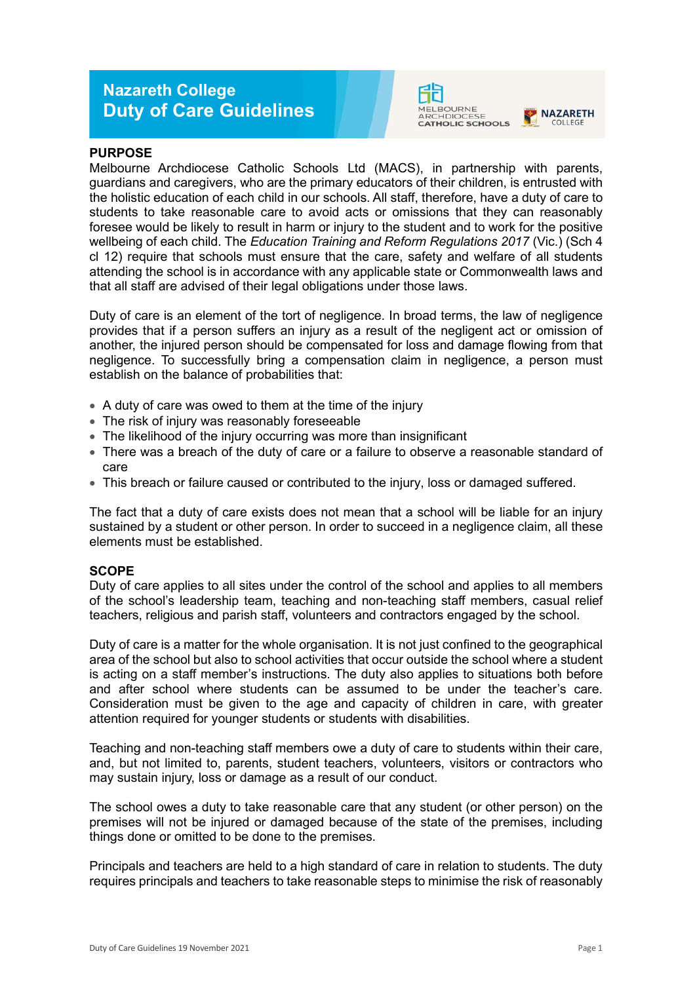# **Nazareth College Duty of Care Guidelines**



#### **NA7ARFTH** COLLEGE

### **PURPOSE**

Melbourne Archdiocese Catholic Schools Ltd (MACS), in partnership with parents, guardians and caregivers, who are the primary educators of their children, is entrusted with the holistic education of each child in our schools. All staff, therefore, have a duty of care to students to take reasonable care to avoid acts or omissions that they can reasonably foresee would be likely to result in harm or injury to the student and to work for the positive wellbeing of each child. The *Education Training and Reform Regulations 2017* (Vic.) (Sch 4 cl 12) require that schools must ensure that the care, safety and welfare of all students attending the school is in accordance with any applicable state or Commonwealth laws and that all staff are advised of their legal obligations under those laws.

Duty of care is an element of the tort of negligence. In broad terms, the law of negligence provides that if a person suffers an injury as a result of the negligent act or omission of another, the injured person should be compensated for loss and damage flowing from that negligence. To successfully bring a compensation claim in negligence, a person must establish on the balance of probabilities that:

- A duty of care was owed to them at the time of the injury
- The risk of injury was reasonably foreseeable
- The likelihood of the injury occurring was more than insignificant
- There was a breach of the duty of care or a failure to observe a reasonable standard of care
- This breach or failure caused or contributed to the injury, loss or damaged suffered.

The fact that a duty of care exists does not mean that a school will be liable for an injury sustained by a student or other person. In order to succeed in a negligence claim, all these elements must be established.

### **SCOPE**

Duty of care applies to all sites under the control of the school and applies to all members of the school's leadership team, teaching and non-teaching staff members, casual relief teachers, religious and parish staff, volunteers and contractors engaged by the school.

Duty of care is a matter for the whole organisation. It is not just confined to the geographical area of the school but also to school activities that occur outside the school where a student is acting on a staff member's instructions. The duty also applies to situations both before and after school where students can be assumed to be under the teacher's care. Consideration must be given to the age and capacity of children in care, with greater attention required for younger students or students with disabilities.

Teaching and non-teaching staff members owe a duty of care to students within their care, and, but not limited to, parents, student teachers, volunteers, visitors or contractors who may sustain injury, loss or damage as a result of our conduct.

The school owes a duty to take reasonable care that any student (or other person) on the premises will not be injured or damaged because of the state of the premises, including things done or omitted to be done to the premises.

Principals and teachers are held to a high standard of care in relation to students. The duty requires principals and teachers to take reasonable steps to minimise the risk of reasonably